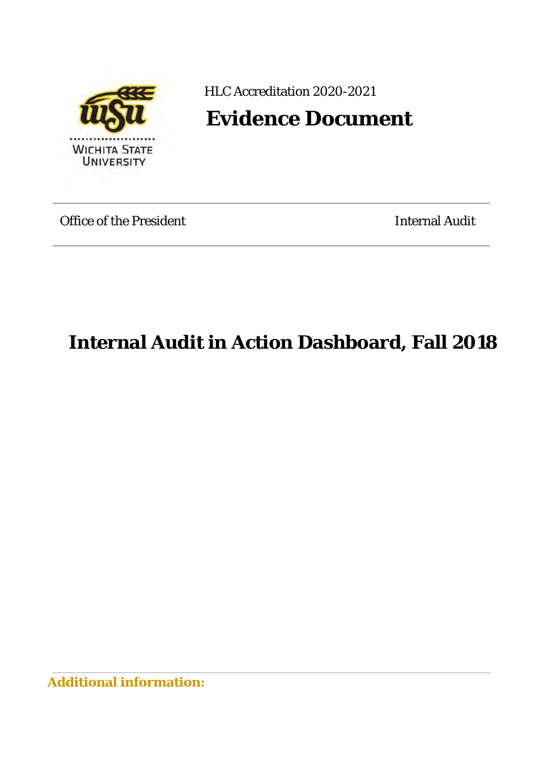

HLC Accreditation 2020-2021

**Evidence Document** 

Office of the President **Internal Audit** Internal Audit

**Internal Audit in Action Dashboard, Fall 2018**

**Additional information:**